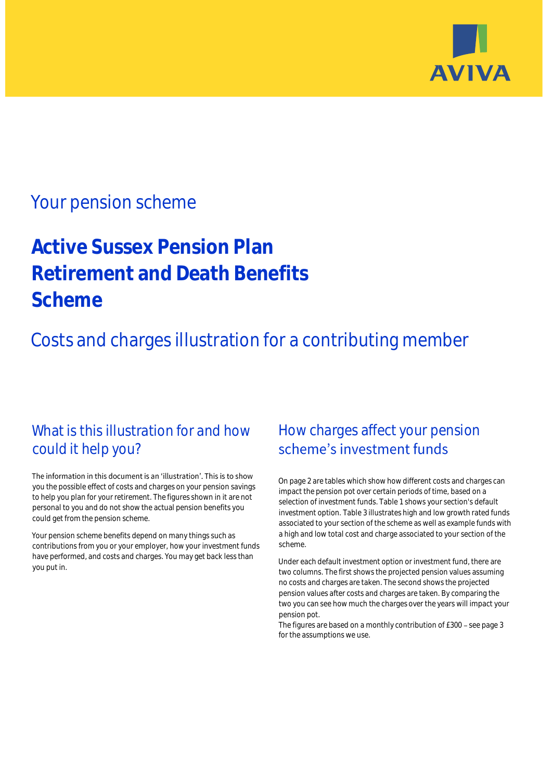

## Your pension scheme

# **Active Sussex Pension Plan Retirement and Death Benefits Scheme**

Costs and charges illustration for a contributing member

## What is this illustration for and how could it help you?

#### The information in this document is an 'illustration'. This is to show you the possible effect of costs and charges on your pension savings to help you plan for your retirement. The figures shown in it are not personal to you and do not show the actual pension benefits you could get from the pension scheme.

Your pension scheme benefits depend on many things such as contributions from you or your employer, how your investment funds have performed, and costs and charges. You may get back less than you put in.

## How charges affect your pension scheme's investment funds

On page 2 are tables which show how different costs and charges can impact the pension pot over certain periods of time, based on a selection of investment funds. Table 1 shows your section's default investment option. Table 3 illustrates high and low growth rated funds associated to your section of the scheme as well as example funds with a high and low total cost and charge associated to your section of the scheme.

Under each default investment option or investment fund, there are two columns. The first shows the projected pension values assuming no costs and charges are taken. The second shows the projected pension values after costs and charges are taken. By comparing the two you can see how much the charges over the years will impact your pension pot.

The figures are based on a monthly contribution of  $£300 -$  see page 3 for the assumptions we use.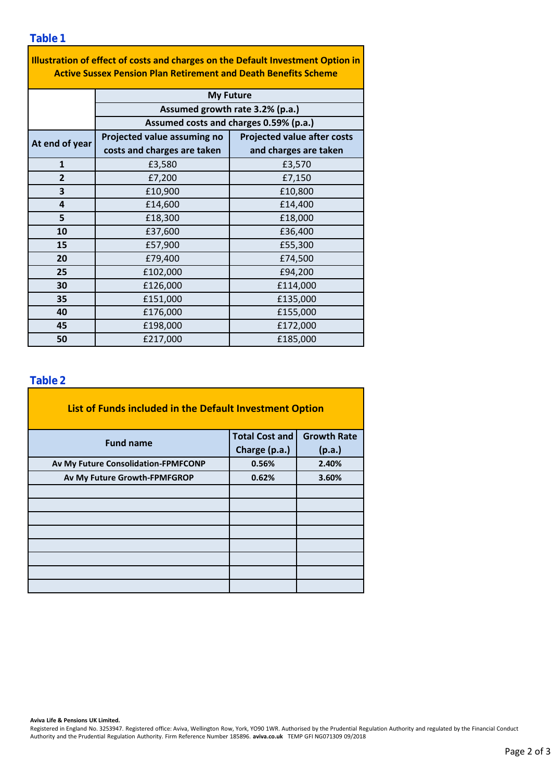**Table 1**

| <b>Illustration of effect of costs and charges on the Default Investment Option in</b> |                                                                           |                                    |  |  |  |  |  |  |  |
|----------------------------------------------------------------------------------------|---------------------------------------------------------------------------|------------------------------------|--|--|--|--|--|--|--|
| <b>Active Sussex Pension Plan Retirement and Death Benefits Scheme</b>                 |                                                                           |                                    |  |  |  |  |  |  |  |
|                                                                                        | <b>My Future</b>                                                          |                                    |  |  |  |  |  |  |  |
|                                                                                        | Assumed growth rate 3.2% (p.a.)<br>Assumed costs and charges 0.59% (p.a.) |                                    |  |  |  |  |  |  |  |
|                                                                                        |                                                                           |                                    |  |  |  |  |  |  |  |
| At end of year                                                                         | Projected value assuming no                                               | <b>Projected value after costs</b> |  |  |  |  |  |  |  |
|                                                                                        | costs and charges are taken                                               | and charges are taken              |  |  |  |  |  |  |  |
| $\mathbf{1}$                                                                           | £3,580                                                                    | £3,570                             |  |  |  |  |  |  |  |
| $\overline{2}$                                                                         | £7,200                                                                    | £7,150                             |  |  |  |  |  |  |  |
| 3                                                                                      | £10,900                                                                   | £10,800                            |  |  |  |  |  |  |  |
| 4                                                                                      | £14,600                                                                   | £14,400                            |  |  |  |  |  |  |  |
| 5                                                                                      | £18,300                                                                   | £18,000                            |  |  |  |  |  |  |  |
| 10                                                                                     | £37,600                                                                   | £36,400                            |  |  |  |  |  |  |  |
| 15                                                                                     | £57,900                                                                   | £55,300                            |  |  |  |  |  |  |  |
| 20                                                                                     | £79,400                                                                   | £74,500                            |  |  |  |  |  |  |  |
| 25                                                                                     | £102,000                                                                  | £94,200                            |  |  |  |  |  |  |  |
| 30                                                                                     | £126,000                                                                  | £114,000                           |  |  |  |  |  |  |  |
| 35                                                                                     | £151,000                                                                  | £135,000                           |  |  |  |  |  |  |  |
| 40                                                                                     | £176,000                                                                  | £155,000                           |  |  |  |  |  |  |  |
| 45                                                                                     | £198,000                                                                  | £172,000                           |  |  |  |  |  |  |  |
| 50                                                                                     | £217,000                                                                  | £185,000                           |  |  |  |  |  |  |  |

#### **Table 2**

| List of Funds included in the Default Investment Option |                       |                    |
|---------------------------------------------------------|-----------------------|--------------------|
| <b>Fund name</b>                                        | <b>Total Cost and</b> | <b>Growth Rate</b> |
|                                                         | Charge (p.a.)         | (p.a.)             |
| Av My Future Consolidation-FPMFCONP                     | 0.56%                 | 2.40%              |
| Av My Future Growth-FPMFGROP                            | 0.62%                 | 3.60%              |
|                                                         |                       |                    |
|                                                         |                       |                    |
|                                                         |                       |                    |
|                                                         |                       |                    |
|                                                         |                       |                    |
|                                                         |                       |                    |
|                                                         |                       |                    |
|                                                         |                       |                    |

**Aviva Life & Pensions UK Limited.**

Registered in England No. 3253947. Registered office: Aviva, Wellington Row, York, YO90 1WR. Authorised by the Prudential Regulation Authority and regulated by the Financial Conduct Authority and the Prudential Regulation Authority. Firm Reference Number 185896. **aviva.co.uk** TEMP GFI NG071309 09/2018